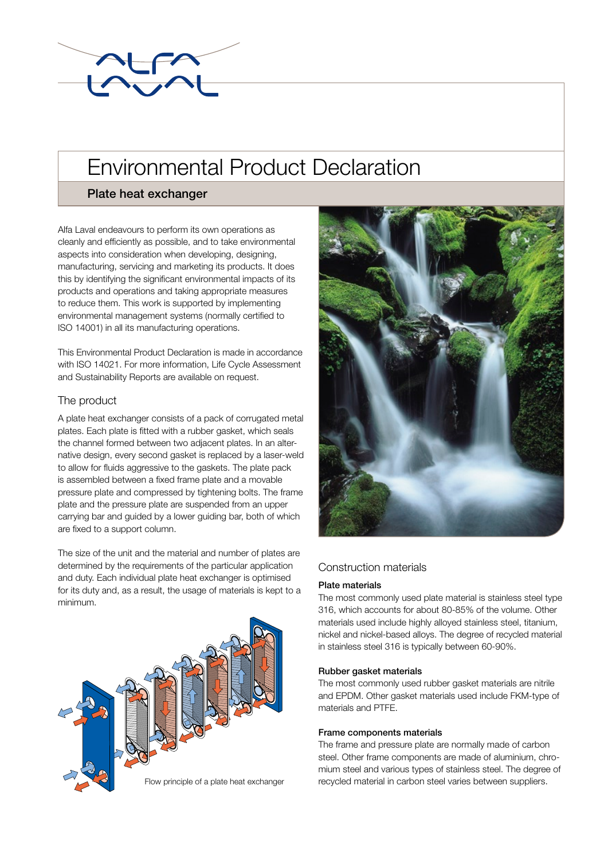

# Environmental Product Declaration

## Plate heat exchanger

Alfa Laval endeavours to perform its own operations as cleanly and efficiently as possible, and to take environmental aspects into consideration when developing, designing, manufacturing, servicing and marketing its products. It does this by identifying the significant environmental impacts of its products and operations and taking appropriate measures to reduce them. This work is supported by implementing environmental management systems (normally certified to ISO 14001) in all its manufacturing operations.

This Environmental Product Declaration is made in accordance with ISO 14021. For more information, Life Cycle Assessment and Sustainability Reports are available on request.

## The product

A plate heat exchanger consists of a pack of corrugated metal plates. Each plate is fitted with a rubber gasket, which seals the channel formed between two adjacent plates. In an alternative design, every second gasket is replaced by a laser-weld to allow for fluids aggressive to the gaskets. The plate pack is assembled between a fixed frame plate and a movable pressure plate and compressed by tightening bolts. The frame plate and the pressure plate are suspended from an upper carrying bar and guided by a lower guiding bar, both of which are fixed to a support column.

The size of the unit and the material and number of plates are determined by the requirements of the particular application and duty. Each individual plate heat exchanger is optimised for its duty and, as a result, the usage of materials is kept to a minimum.





## Construction materials

### Plate materials

The most commonly used plate material is stainless steel type 316, which accounts for about 80-85% of the volume. Other materials used include highly alloyed stainless steel, titanium, nickel and nickel-based alloys. The degree of recycled material in stainless steel 316 is typically between 60-90%.

#### Rubber gasket materials

The most commonly used rubber gasket materials are nitrile and EPDM. Other gasket materials used include FKM-type of materials and PTFE.

#### Frame components materials

The frame and pressure plate are normally made of carbon steel. Other frame components are made of aluminium, chromium steel and various types of stainless steel. The degree of recycled material in carbon steel varies between suppliers.